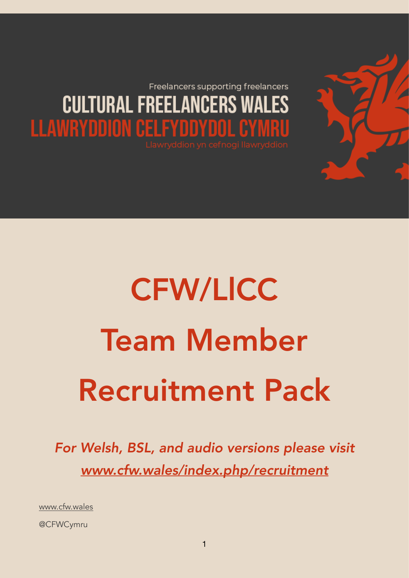Freelancers supporting freelancers **CULTURAL FREELANCERS WALES LLAWRYDDION CELFYDDYDOL CYMRU** 

# CFW/LlCC Team Member Recruitment Pack

*For Welsh, BSL, and audio versions please visit [www.cfw.wales/index.php/recruitment](http://www.cfw.wales/index.php/recruitment)*

[www.cfw.wales](http://www.cfw.wales)

@CFWCymru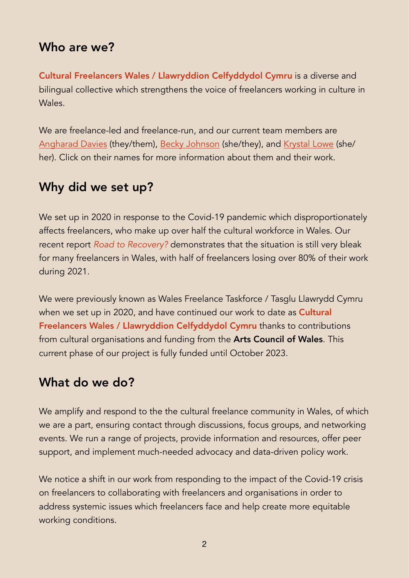## Who are we?

Cultural Freelancers Wales / Llawryddion Celfyddydol Cymru is a diverse and bilingual collective which strengthens the voice of freelancers working in culture in Wales.

We are freelance-led and freelance-run, and our current team members are [Angharad Davies](http://www.theangharad.com/) (they/them), [Becky Johnson](http://www.instagram.com/bjohnsoncreative) (she/they), and [Krystal Lowe](http://www.krystalslowe.com) (she/ her). Click on their names for more information about them and their work.

## Why did we set up?

We set up in 2020 in response to the Covid-19 pandemic which disproportionately affects freelancers, who make up over half the cultural workforce in Wales. Our recent report *Road to Recovery?* demonstrates that the situation is still very bleak for many freelancers in Wales, with half of freelancers losing over 80% of their work during 2021.

We were previously known as Wales Freelance Taskforce / Tasglu Llawrydd Cymru when we set up in 2020, and have continued our work to date as **Cultural** Freelancers Wales / Llawryddion Celfyddydol Cymru thanks to contributions from cultural organisations and funding from the **Arts Council of Wales**. This current phase of our project is fully funded until October 2023.

## What do we do?

We amplify and respond to the the cultural freelance community in Wales, of which we are a part, ensuring contact through discussions, focus groups, and networking events. We run a range of projects, provide information and resources, offer peer support, and implement much-needed advocacy and data-driven policy work.

We notice a shift in our work from responding to the impact of the Covid-19 crisis on freelancers to collaborating with freelancers and organisations in order to address systemic issues which freelancers face and help create more equitable working conditions.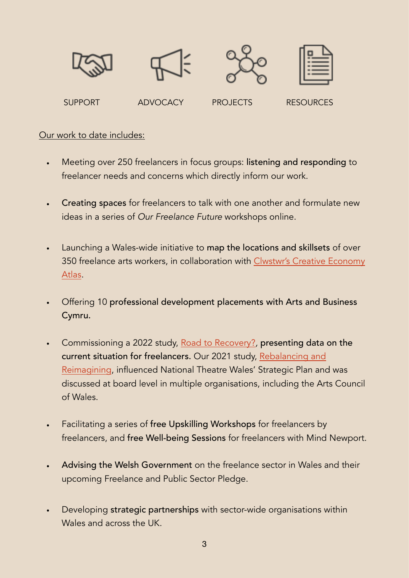

#### Our work to date includes:

- Meeting over 250 freelancers in focus groups: listening and responding to freelancer needs and concerns which directly inform our work.
- Creating spaces for freelancers to talk with one another and formulate new ideas in a series of *Our Freelance Future* workshops online.
- Launching a Wales-wide initiative to map the locations and skillsets of over 350 freelance arts workers, in collaboration with [Clwstwr's Creative Economy](https://clwstwr.org.uk/creative-economy-atlas-cymru)  [Atlas](https://clwstwr.org.uk/creative-economy-atlas-cymru).
- Offering 10 professional development placements with Arts and Business Cymru.
- Commissioning a 2022 study, [Road to Recovery?](http://www.cfw.wales/recovery)*,* presenting data on the current situation for freelancers. Our 2021 study, [Rebalancing and](http://www.cfw.wales/report)  [Reimagining](http://www.cfw.wales/report), influenced National Theatre Wales' Strategic Plan and was discussed at board level in multiple organisations, including the Arts Council of Wales.
- Facilitating a series of free Upskilling Workshops for freelancers by freelancers, and free Well-being Sessions for freelancers with Mind Newport.
- Advising the Welsh Government on the freelance sector in Wales and their upcoming Freelance and Public Sector Pledge.
- Developing strategic partnerships with sector-wide organisations within Wales and across the UK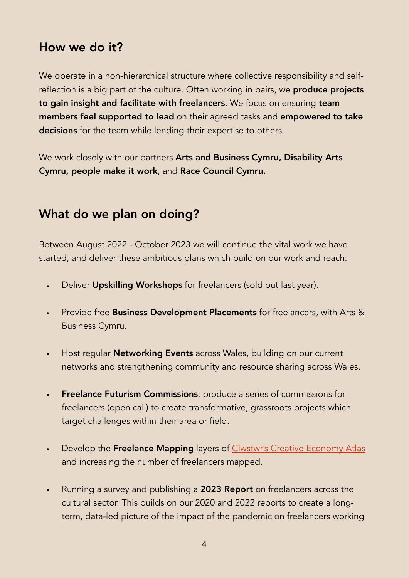## How we do it?

We operate in a non-hierarchical structure where collective responsibility and selfreflection is a big part of the culture. Often working in pairs, we **produce projects** to gain insight and facilitate with freelancers. We focus on ensuring team members feel supported to lead on their agreed tasks and empowered to take decisions for the team while lending their expertise to others.

We work closely with our partners Arts and Business Cymru, Disability Arts Cymru, people make it work, and Race Council Cymru.

## What do we plan on doing?

Between August 2022 - October 2023 we will continue the vital work we have started, and deliver these ambitious plans which build on our work and reach:

- Deliver Upskilling Workshops for freelancers (sold out last year).
- Provide free Business Development Placements for freelancers, with Arts & Business Cymru.
- Host regular **Networking Events** across Wales, building on our current networks and strengthening community and resource sharing across Wales.
- Freelance Futurism Commissions: produce a series of commissions for freelancers (open call) to create transformative, grassroots projects which target challenges within their area or field.
- Develop the Freelance Mapping layers of Clwstwr's Creative Economy Atlas and increasing the number of freelancers mapped.
- Running a survey and publishing a 2023 Report on freelancers across the cultural sector. This builds on our 2020 and 2022 reports to create a longterm, data-led picture of the impact of the pandemic on freelancers working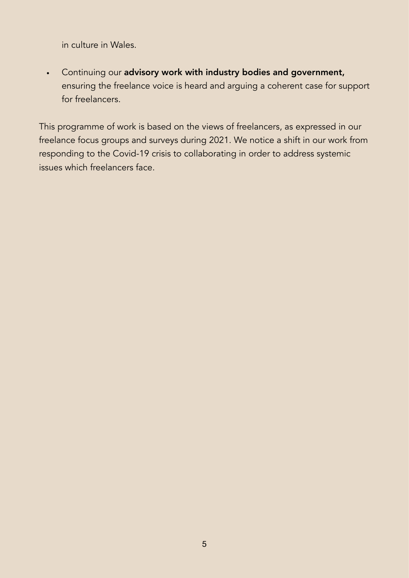in culture in Wales.

• Continuing our advisory work with industry bodies and government, ensuring the freelance voice is heard and arguing a coherent case for support for freelancers.

This programme of work is based on the views of freelancers, as expressed in our freelance focus groups and surveys during 2021. We notice a shift in our work from responding to the Covid-19 crisis to collaborating in order to address systemic issues which freelancers face.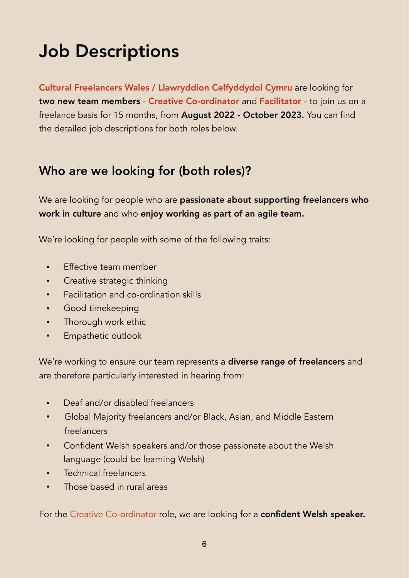## Job Descriptions

Cultural Freelancers Wales / Llawryddion Celfyddydol Cymru are looking for two new team members - Creative Co-ordinator and Facilitator - to join us on a freelance basis for 15 months, from August 2022 - October 2023. You can find the detailed job descriptions for both roles below.

## Who are we looking for (both roles)?

We are looking for people who are passionate about supporting freelancers who work in culture and who enjoy working as part of an agile team.

We're looking for people with some of the following traits:

- Effective team member
- Creative strategic thinking
- Facilitation and co-ordination skills
- Good timekeeping
- Thorough work ethic
- Empathetic outlook

We're working to ensure our team represents a **diverse range of freelancers** and are therefore particularly interested in hearing from:

- Deaf and/or disabled freelancers
- Global Majority freelancers and/or Black, Asian, and Middle Eastern freelancers
- Confident Welsh speakers and/or those passionate about the Welsh language (could be learning Welsh)
- Technical freelancers
- Those based in rural areas

For the Creative Co-ordinator role, we are looking for a confident Welsh speaker.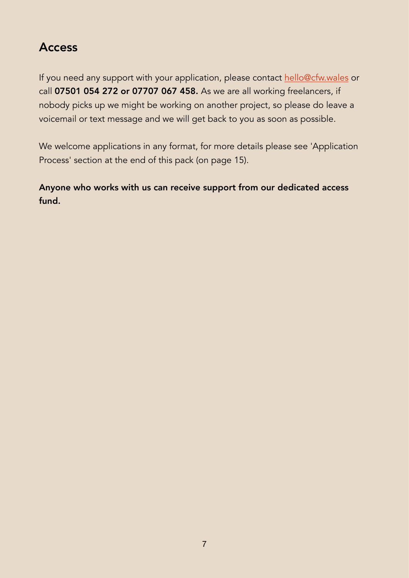## Access

If you need any support with your application, please contact [hello@cfw.wales](mailto:hello@cfw.wales) or call 07501 054 272 or 07707 067 458. As we are all working freelancers, if nobody picks up we might be working on another project, so please do leave a voicemail or text message and we will get back to you as soon as possible.

We welcome applications in any format, for more details please see 'Application Process' section at the end of this pack (on page 15).

Anyone who works with us can receive support from our dedicated access fund.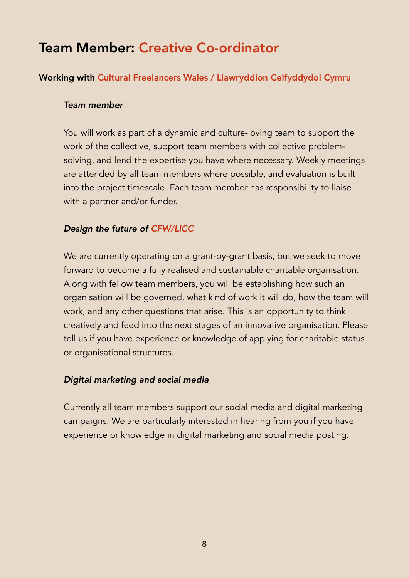## Team Member: Creative Co-ordinator

#### Working with Cultural Freelancers Wales / Llawryddion Celfyddydol Cymru

#### *Team member*

You will work as part of a dynamic and culture-loving team to support the work of the collective, support team members with collective problemsolving, and lend the expertise you have where necessary. Weekly meetings are attended by all team members where possible, and evaluation is built into the project timescale. Each team member has responsibility to liaise with a partner and/or funder.

#### *Design the future of CFW/LlCC*

We are currently operating on a grant-by-grant basis, but we seek to move forward to become a fully realised and sustainable charitable organisation. Along with fellow team members, you will be establishing how such an organisation will be governed, what kind of work it will do, how the team will work, and any other questions that arise. This is an opportunity to think creatively and feed into the next stages of an innovative organisation. Please tell us if you have experience or knowledge of applying for charitable status or organisational structures.

#### *Digital marketing and social media*

Currently all team members support our social media and digital marketing campaigns. We are particularly interested in hearing from you if you have experience or knowledge in digital marketing and social media posting.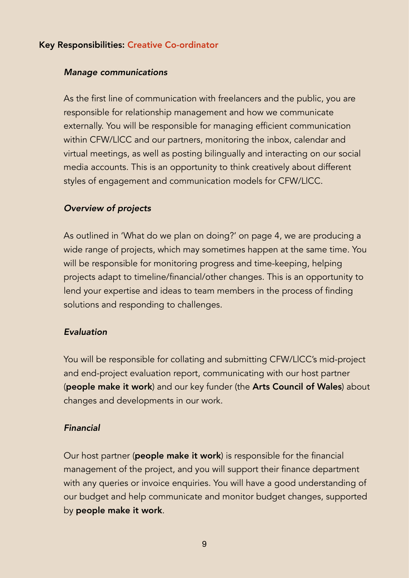#### Key Responsibilities: Creative Co-ordinator

#### *Manage communications*

As the first line of communication with freelancers and the public, you are responsible for relationship management and how we communicate externally. You will be responsible for managing efficient communication within CFW/LlCC and our partners, monitoring the inbox, calendar and virtual meetings, as well as posting bilingually and interacting on our social media accounts. This is an opportunity to think creatively about different styles of engagement and communication models for CFW/LlCC.

#### *Overview of projects*

As outlined in 'What do we plan on doing?' on page 4, we are producing a wide range of projects, which may sometimes happen at the same time. You will be responsible for monitoring progress and time-keeping, helping projects adapt to timeline/financial/other changes. This is an opportunity to lend your expertise and ideas to team members in the process of finding solutions and responding to challenges.

#### *Evaluation*

You will be responsible for collating and submitting CFW/LlCC's mid-project and end-project evaluation report, communicating with our host partner (people make it work) and our key funder (the Arts Council of Wales) about changes and developments in our work.

#### *Financial*

Our host partner (people make it work) is responsible for the financial management of the project, and you will support their finance department with any queries or invoice enquiries. You will have a good understanding of our budget and help communicate and monitor budget changes, supported by people make it work.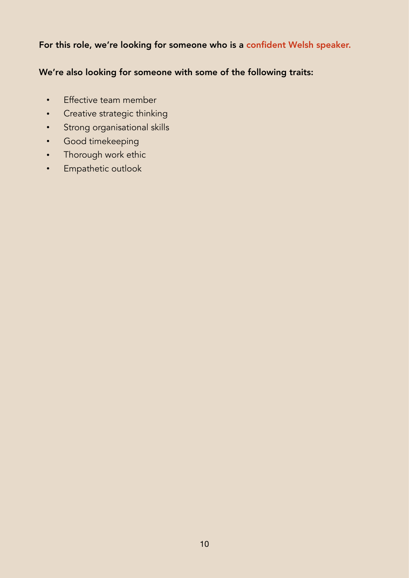#### For this role, we're looking for someone who is a confident Welsh speaker.

#### We're also looking for someone with some of the following traits:

- Effective team member
- Creative strategic thinking
- Strong organisational skills
- Good timekeeping
- Thorough work ethic
- Empathetic outlook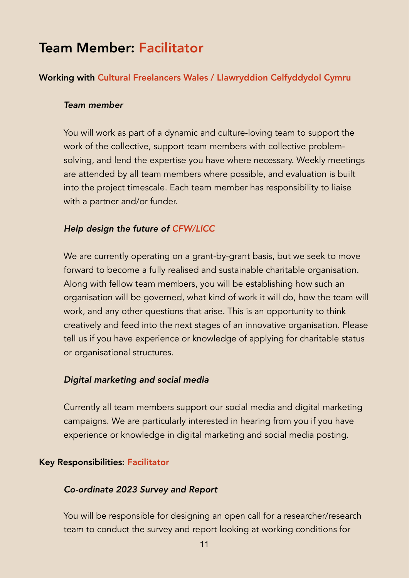## Team Member: Facilitator

#### Working with Cultural Freelancers Wales / Llawryddion Celfyddydol Cymru

#### *Team member*

You will work as part of a dynamic and culture-loving team to support the work of the collective, support team members with collective problemsolving, and lend the expertise you have where necessary. Weekly meetings are attended by all team members where possible, and evaluation is built into the project timescale. Each team member has responsibility to liaise with a partner and/or funder.

#### *Help design the future of CFW/LlCC*

We are currently operating on a grant-by-grant basis, but we seek to move forward to become a fully realised and sustainable charitable organisation. Along with fellow team members, you will be establishing how such an organisation will be governed, what kind of work it will do, how the team will work, and any other questions that arise. This is an opportunity to think creatively and feed into the next stages of an innovative organisation. Please tell us if you have experience or knowledge of applying for charitable status or organisational structures.

#### *Digital marketing and social media*

Currently all team members support our social media and digital marketing campaigns. We are particularly interested in hearing from you if you have experience or knowledge in digital marketing and social media posting.

#### Key Responsibilities: Facilitator

#### *Co-ordinate 2023 Survey and Report*

You will be responsible for designing an open call for a researcher/research team to conduct the survey and report looking at working conditions for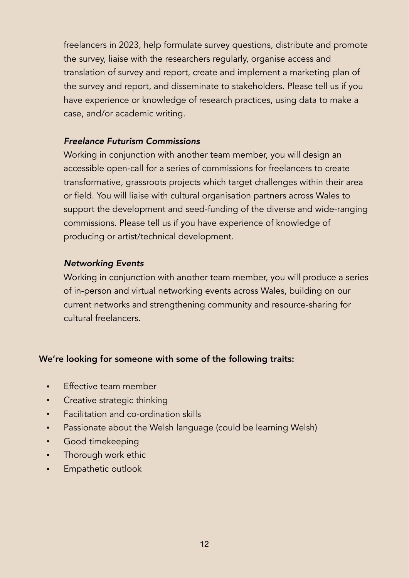freelancers in 2023, help formulate survey questions, distribute and promote the survey, liaise with the researchers regularly, organise access and translation of survey and report, create and implement a marketing plan of the survey and report, and disseminate to stakeholders. Please tell us if you have experience or knowledge of research practices, using data to make a case, and/or academic writing.

#### *Freelance Futurism Commissions*

Working in conjunction with another team member, you will design an accessible open-call for a series of commissions for freelancers to create transformative, grassroots projects which target challenges within their area or field. You will liaise with cultural organisation partners across Wales to support the development and seed-funding of the diverse and wide-ranging commissions. Please tell us if you have experience of knowledge of producing or artist/technical development.

#### *Networking Events*

Working in conjunction with another team member, you will produce a series of in-person and virtual networking events across Wales, building on our current networks and strengthening community and resource-sharing for cultural freelancers.

#### We're looking for someone with some of the following traits:

- **Effective team member**
- Creative strategic thinking
- Facilitation and co-ordination skills
- Passionate about the Welsh language (could be learning Welsh)
- Good timekeeping
- Thorough work ethic
- Empathetic outlook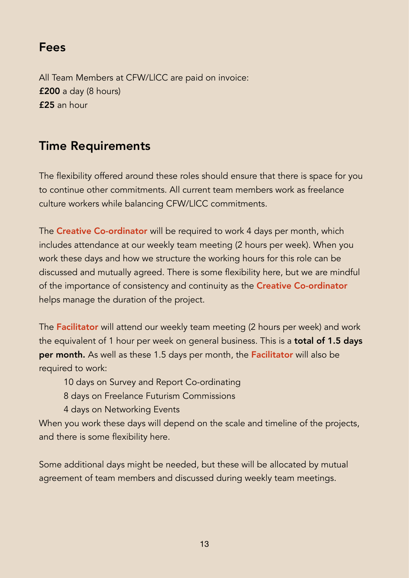## Fees

All Team Members at CFW/LlCC are paid on invoice: £200 a day (8 hours) £25 an hour

## Time Requirements

The flexibility offered around these roles should ensure that there is space for you to continue other commitments. All current team members work as freelance culture workers while balancing CFW/LlCC commitments.

The Creative Co-ordinator will be required to work 4 days per month, which includes attendance at our weekly team meeting (2 hours per week). When you work these days and how we structure the working hours for this role can be discussed and mutually agreed. There is some flexibility here, but we are mindful of the importance of consistency and continuity as the Creative Co-ordinator helps manage the duration of the project.

The Facilitator will attend our weekly team meeting (2 hours per week) and work the equivalent of 1 hour per week on general business. This is a **total of 1.5 days** per month. As well as these 1.5 days per month, the Facilitator will also be required to work:

- 10 days on Survey and Report Co-ordinating
- 8 days on Freelance Futurism Commissions
- 4 days on Networking Events

When you work these days will depend on the scale and timeline of the projects, and there is some flexibility here.

Some additional days might be needed, but these will be allocated by mutual agreement of team members and discussed during weekly team meetings.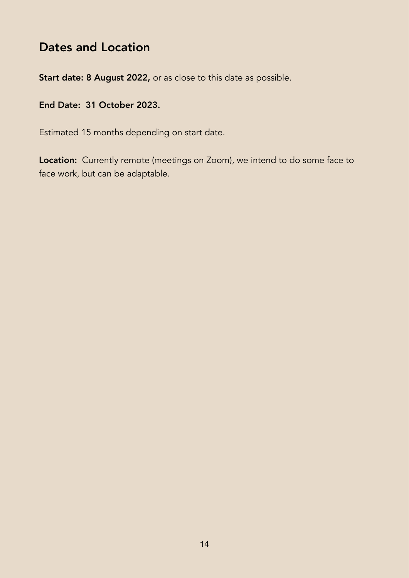## Dates and Location

Start date: 8 August 2022, or as close to this date as possible.

#### End Date: 31 October 2023.

Estimated 15 months depending on start date.

Location: Currently remote (meetings on Zoom), we intend to do some face to face work, but can be adaptable.